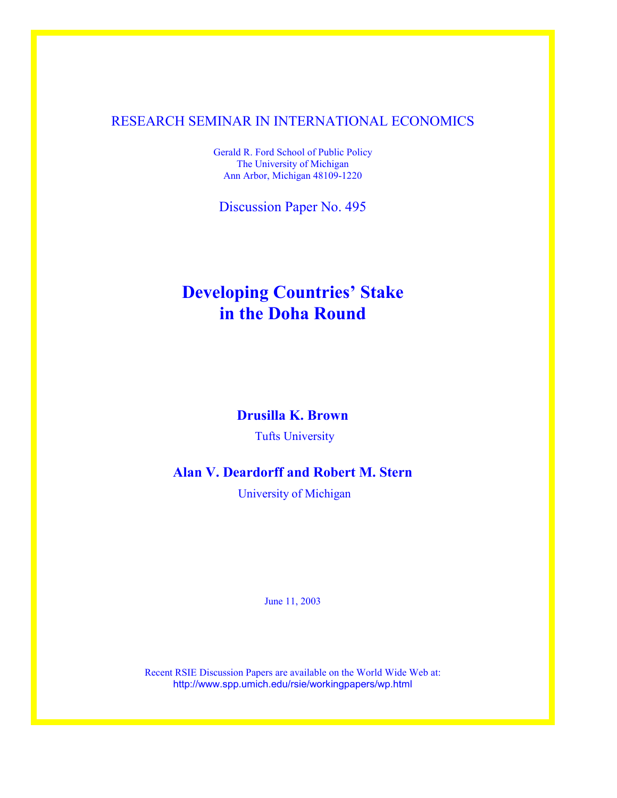# RESEARCH SEMINAR IN INTERNATIONAL ECONOMICS

Gerald R. Ford School of Public Policy The University of Michigan Ann Arbor, Michigan 48109-1220

Discussion Paper No. 495

# **Developing Countries' Stake in the Doha Round**

# **Drusilla K. Brown**

Tufts University

# **Alan V. Deardorff and Robert M. Stern**

University of Michigan

June 11, 2003

Recent RSIE Discussion Papers are available on the World Wide Web at: http://www.spp.umich.edu/rsie/workingpapers/wp.html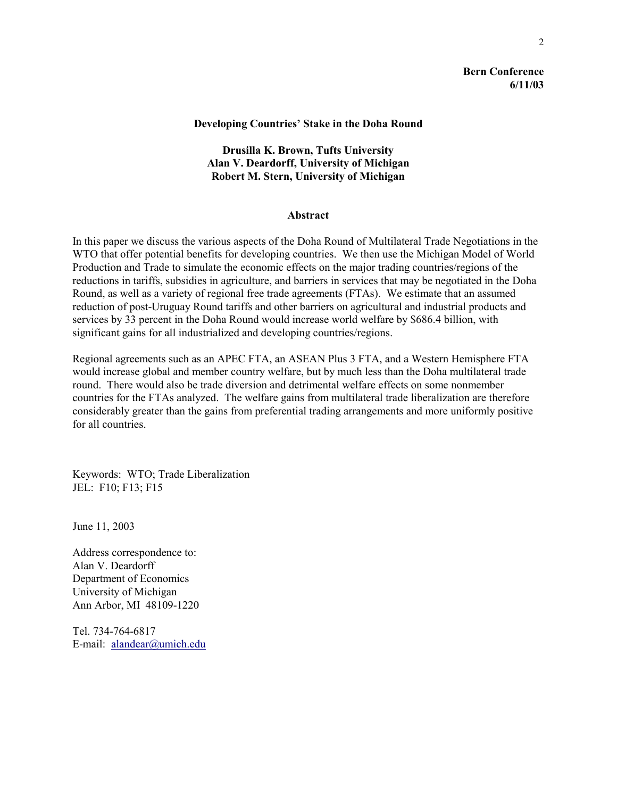# **Bern Conference 6/11/03**

#### **Developing Countries' Stake in the Doha Round**

# **Drusilla K. Brown, Tufts University Alan V. Deardorff, University of Michigan Robert M. Stern, University of Michigan**

#### **Abstract**

In this paper we discuss the various aspects of the Doha Round of Multilateral Trade Negotiations in the WTO that offer potential benefits for developing countries. We then use the Michigan Model of World Production and Trade to simulate the economic effects on the major trading countries/regions of the reductions in tariffs, subsidies in agriculture, and barriers in services that may be negotiated in the Doha Round, as well as a variety of regional free trade agreements (FTAs). We estimate that an assumed reduction of post-Uruguay Round tariffs and other barriers on agricultural and industrial products and services by 33 percent in the Doha Round would increase world welfare by \$686.4 billion, with significant gains for all industrialized and developing countries/regions.

Regional agreements such as an APEC FTA, an ASEAN Plus 3 FTA, and a Western Hemisphere FTA would increase global and member country welfare, but by much less than the Doha multilateral trade round. There would also be trade diversion and detrimental welfare effects on some nonmember countries for the FTAs analyzed. The welfare gains from multilateral trade liberalization are therefore considerably greater than the gains from preferential trading arrangements and more uniformly positive for all countries.

Keywords: WTO; Trade Liberalization JEL: F10; F13; F15

June 11, 2003

Address correspondence to: Alan V. Deardorff Department of Economics University of Michigan Ann Arbor, MI 48109-1220

Tel. 734-764-6817 E-mail: alandear@umich.edu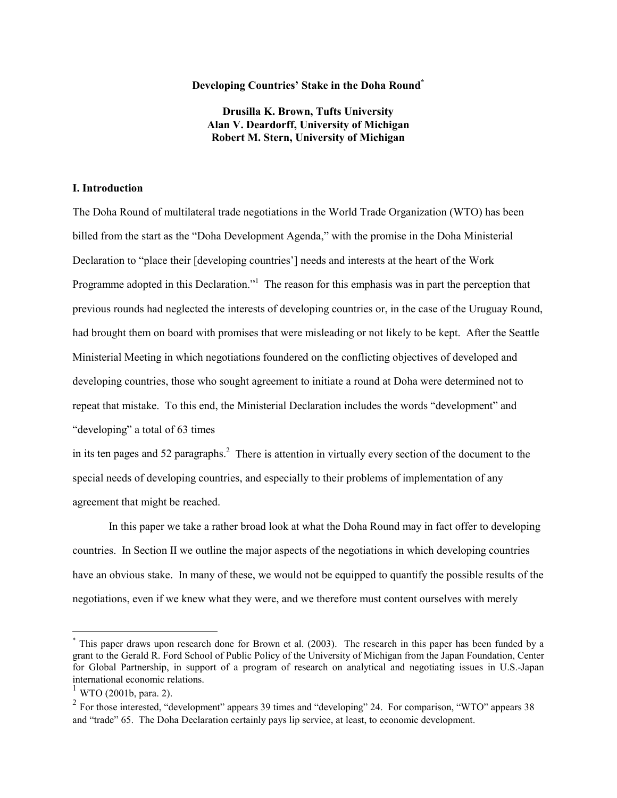# **Developing Countries' Stake in the Doha Round\***

**Drusilla K. Brown, Tufts University Alan V. Deardorff, University of Michigan Robert M. Stern, University of Michigan** 

# **I. Introduction**

The Doha Round of multilateral trade negotiations in the World Trade Organization (WTO) has been billed from the start as the "Doha Development Agenda," with the promise in the Doha Ministerial Declaration to "place their [developing countries'] needs and interests at the heart of the Work Programme adopted in this Declaration."<sup>1</sup> The reason for this emphasis was in part the perception that previous rounds had neglected the interests of developing countries or, in the case of the Uruguay Round, had brought them on board with promises that were misleading or not likely to be kept. After the Seattle Ministerial Meeting in which negotiations foundered on the conflicting objectives of developed and developing countries, those who sought agreement to initiate a round at Doha were determined not to repeat that mistake. To this end, the Ministerial Declaration includes the words "development" and "developing" a total of 63 times

in its ten pages and 52 paragraphs.<sup>2</sup> There is attention in virtually every section of the document to the special needs of developing countries, and especially to their problems of implementation of any agreement that might be reached.

 In this paper we take a rather broad look at what the Doha Round may in fact offer to developing countries. In Section II we outline the major aspects of the negotiations in which developing countries have an obvious stake. In many of these, we would not be equipped to quantify the possible results of the negotiations, even if we knew what they were, and we therefore must content ourselves with merely

<sup>\*</sup> This paper draws upon research done for Brown et al. (2003). The research in this paper has been funded by a grant to the Gerald R. Ford School of Public Policy of the University of Michigan from the Japan Foundation, Center for Global Partnership, in support of a program of research on analytical and negotiating issues in U.S.-Japan international economic relations.

 $1$  WTO (2001b, para. 2).

<sup>&</sup>lt;sup>2</sup> For those interested, "development" appears 39 times and "developing" 24. For comparison, "WTO" appears 38 and "trade" 65. The Doha Declaration certainly pays lip service, at least, to economic development.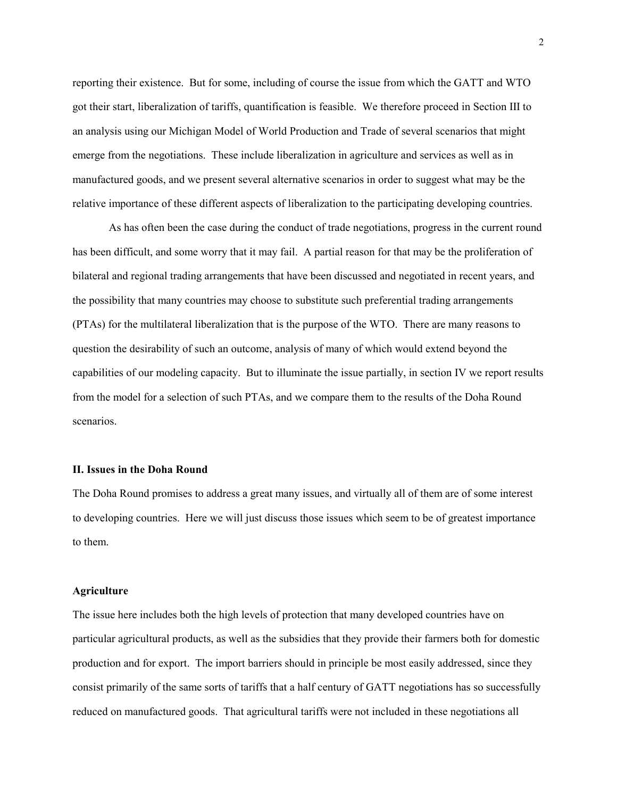reporting their existence. But for some, including of course the issue from which the GATT and WTO got their start, liberalization of tariffs, quantification is feasible. We therefore proceed in Section III to an analysis using our Michigan Model of World Production and Trade of several scenarios that might emerge from the negotiations. These include liberalization in agriculture and services as well as in manufactured goods, and we present several alternative scenarios in order to suggest what may be the relative importance of these different aspects of liberalization to the participating developing countries.

 As has often been the case during the conduct of trade negotiations, progress in the current round has been difficult, and some worry that it may fail. A partial reason for that may be the proliferation of bilateral and regional trading arrangements that have been discussed and negotiated in recent years, and the possibility that many countries may choose to substitute such preferential trading arrangements (PTAs) for the multilateral liberalization that is the purpose of the WTO. There are many reasons to question the desirability of such an outcome, analysis of many of which would extend beyond the capabilities of our modeling capacity. But to illuminate the issue partially, in section IV we report results from the model for a selection of such PTAs, and we compare them to the results of the Doha Round scenarios.

#### **II. Issues in the Doha Round**

The Doha Round promises to address a great many issues, and virtually all of them are of some interest to developing countries. Here we will just discuss those issues which seem to be of greatest importance to them.

#### **Agriculture**

The issue here includes both the high levels of protection that many developed countries have on particular agricultural products, as well as the subsidies that they provide their farmers both for domestic production and for export. The import barriers should in principle be most easily addressed, since they consist primarily of the same sorts of tariffs that a half century of GATT negotiations has so successfully reduced on manufactured goods. That agricultural tariffs were not included in these negotiations all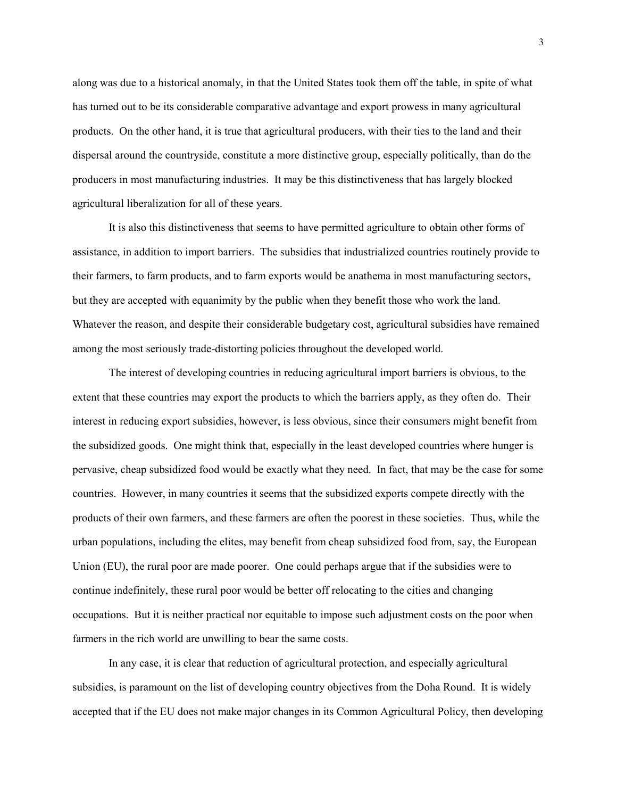along was due to a historical anomaly, in that the United States took them off the table, in spite of what has turned out to be its considerable comparative advantage and export prowess in many agricultural products. On the other hand, it is true that agricultural producers, with their ties to the land and their dispersal around the countryside, constitute a more distinctive group, especially politically, than do the producers in most manufacturing industries. It may be this distinctiveness that has largely blocked agricultural liberalization for all of these years.

 It is also this distinctiveness that seems to have permitted agriculture to obtain other forms of assistance, in addition to import barriers. The subsidies that industrialized countries routinely provide to their farmers, to farm products, and to farm exports would be anathema in most manufacturing sectors, but they are accepted with equanimity by the public when they benefit those who work the land. Whatever the reason, and despite their considerable budgetary cost, agricultural subsidies have remained among the most seriously trade-distorting policies throughout the developed world.

 The interest of developing countries in reducing agricultural import barriers is obvious, to the extent that these countries may export the products to which the barriers apply, as they often do. Their interest in reducing export subsidies, however, is less obvious, since their consumers might benefit from the subsidized goods. One might think that, especially in the least developed countries where hunger is pervasive, cheap subsidized food would be exactly what they need. In fact, that may be the case for some countries. However, in many countries it seems that the subsidized exports compete directly with the products of their own farmers, and these farmers are often the poorest in these societies. Thus, while the urban populations, including the elites, may benefit from cheap subsidized food from, say, the European Union (EU), the rural poor are made poorer. One could perhaps argue that if the subsidies were to continue indefinitely, these rural poor would be better off relocating to the cities and changing occupations. But it is neither practical nor equitable to impose such adjustment costs on the poor when farmers in the rich world are unwilling to bear the same costs.

 In any case, it is clear that reduction of agricultural protection, and especially agricultural subsidies, is paramount on the list of developing country objectives from the Doha Round. It is widely accepted that if the EU does not make major changes in its Common Agricultural Policy, then developing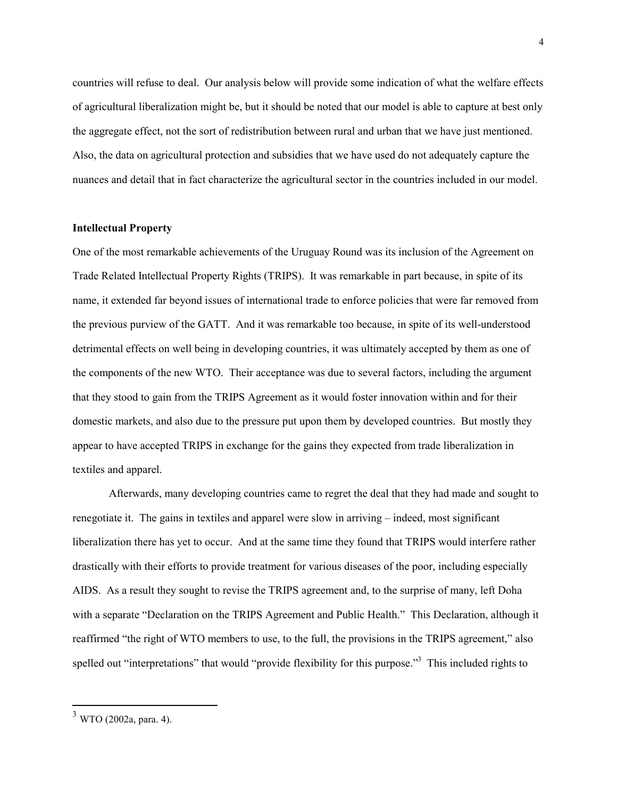countries will refuse to deal. Our analysis below will provide some indication of what the welfare effects of agricultural liberalization might be, but it should be noted that our model is able to capture at best only the aggregate effect, not the sort of redistribution between rural and urban that we have just mentioned. Also, the data on agricultural protection and subsidies that we have used do not adequately capture the nuances and detail that in fact characterize the agricultural sector in the countries included in our model.

#### **Intellectual Property**

One of the most remarkable achievements of the Uruguay Round was its inclusion of the Agreement on Trade Related Intellectual Property Rights (TRIPS). It was remarkable in part because, in spite of its name, it extended far beyond issues of international trade to enforce policies that were far removed from the previous purview of the GATT. And it was remarkable too because, in spite of its well-understood detrimental effects on well being in developing countries, it was ultimately accepted by them as one of the components of the new WTO. Their acceptance was due to several factors, including the argument that they stood to gain from the TRIPS Agreement as it would foster innovation within and for their domestic markets, and also due to the pressure put upon them by developed countries. But mostly they appear to have accepted TRIPS in exchange for the gains they expected from trade liberalization in textiles and apparel.

 Afterwards, many developing countries came to regret the deal that they had made and sought to renegotiate it. The gains in textiles and apparel were slow in arriving – indeed, most significant liberalization there has yet to occur. And at the same time they found that TRIPS would interfere rather drastically with their efforts to provide treatment for various diseases of the poor, including especially AIDS. As a result they sought to revise the TRIPS agreement and, to the surprise of many, left Doha with a separate "Declaration on the TRIPS Agreement and Public Health." This Declaration, although it reaffirmed "the right of WTO members to use, to the full, the provisions in the TRIPS agreement," also spelled out "interpretations" that would "provide flexibility for this purpose."<sup>3</sup> This included rights to

 $3$  WTO (2002a, para. 4).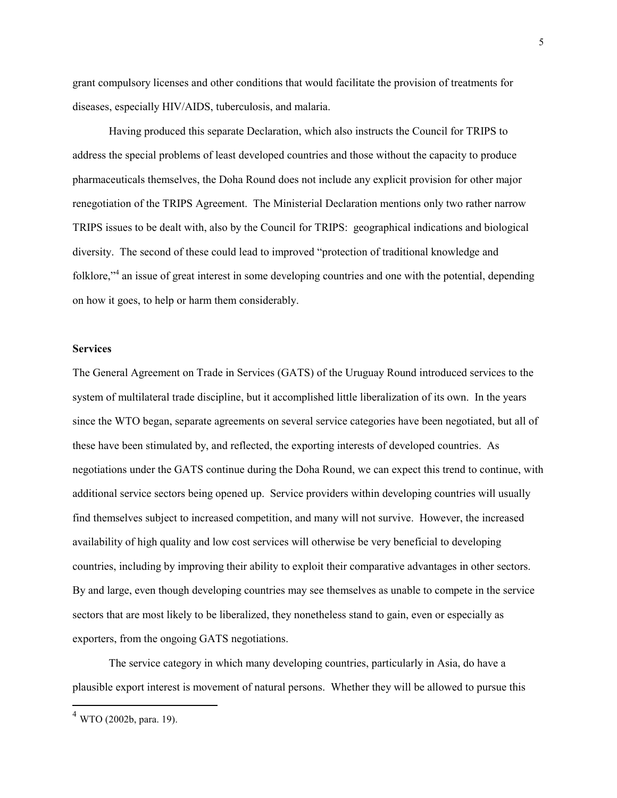grant compulsory licenses and other conditions that would facilitate the provision of treatments for diseases, especially HIV/AIDS, tuberculosis, and malaria.

 Having produced this separate Declaration, which also instructs the Council for TRIPS to address the special problems of least developed countries and those without the capacity to produce pharmaceuticals themselves, the Doha Round does not include any explicit provision for other major renegotiation of the TRIPS Agreement. The Ministerial Declaration mentions only two rather narrow TRIPS issues to be dealt with, also by the Council for TRIPS: geographical indications and biological diversity. The second of these could lead to improved "protection of traditional knowledge and folklore,"<sup>4</sup> an issue of great interest in some developing countries and one with the potential, depending on how it goes, to help or harm them considerably.

## **Services**

The General Agreement on Trade in Services (GATS) of the Uruguay Round introduced services to the system of multilateral trade discipline, but it accomplished little liberalization of its own. In the years since the WTO began, separate agreements on several service categories have been negotiated, but all of these have been stimulated by, and reflected, the exporting interests of developed countries. As negotiations under the GATS continue during the Doha Round, we can expect this trend to continue, with additional service sectors being opened up. Service providers within developing countries will usually find themselves subject to increased competition, and many will not survive. However, the increased availability of high quality and low cost services will otherwise be very beneficial to developing countries, including by improving their ability to exploit their comparative advantages in other sectors. By and large, even though developing countries may see themselves as unable to compete in the service sectors that are most likely to be liberalized, they nonetheless stand to gain, even or especially as exporters, from the ongoing GATS negotiations.

 The service category in which many developing countries, particularly in Asia, do have a plausible export interest is movement of natural persons. Whether they will be allowed to pursue this

<sup>4</sup> WTO (2002b, para. 19).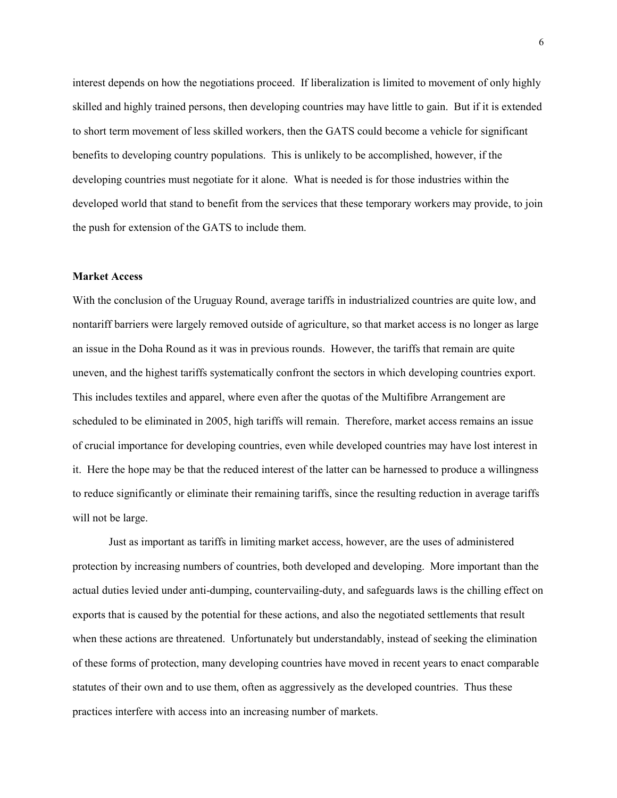interest depends on how the negotiations proceed. If liberalization is limited to movement of only highly skilled and highly trained persons, then developing countries may have little to gain. But if it is extended to short term movement of less skilled workers, then the GATS could become a vehicle for significant benefits to developing country populations. This is unlikely to be accomplished, however, if the developing countries must negotiate for it alone. What is needed is for those industries within the developed world that stand to benefit from the services that these temporary workers may provide, to join the push for extension of the GATS to include them.

#### **Market Access**

With the conclusion of the Uruguay Round, average tariffs in industrialized countries are quite low, and nontariff barriers were largely removed outside of agriculture, so that market access is no longer as large an issue in the Doha Round as it was in previous rounds. However, the tariffs that remain are quite uneven, and the highest tariffs systematically confront the sectors in which developing countries export. This includes textiles and apparel, where even after the quotas of the Multifibre Arrangement are scheduled to be eliminated in 2005, high tariffs will remain. Therefore, market access remains an issue of crucial importance for developing countries, even while developed countries may have lost interest in it. Here the hope may be that the reduced interest of the latter can be harnessed to produce a willingness to reduce significantly or eliminate their remaining tariffs, since the resulting reduction in average tariffs will not be large.

 Just as important as tariffs in limiting market access, however, are the uses of administered protection by increasing numbers of countries, both developed and developing. More important than the actual duties levied under anti-dumping, countervailing-duty, and safeguards laws is the chilling effect on exports that is caused by the potential for these actions, and also the negotiated settlements that result when these actions are threatened. Unfortunately but understandably, instead of seeking the elimination of these forms of protection, many developing countries have moved in recent years to enact comparable statutes of their own and to use them, often as aggressively as the developed countries. Thus these practices interfere with access into an increasing number of markets.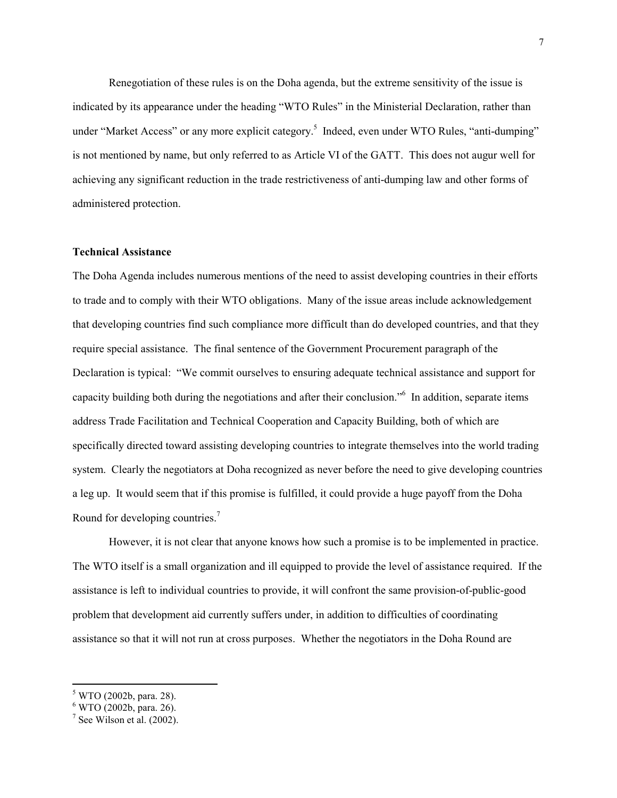Renegotiation of these rules is on the Doha agenda, but the extreme sensitivity of the issue is indicated by its appearance under the heading "WTO Rules" in the Ministerial Declaration, rather than under "Market Access" or any more explicit category.<sup>5</sup> Indeed, even under WTO Rules, "anti-dumping" is not mentioned by name, but only referred to as Article VI of the GATT. This does not augur well for achieving any significant reduction in the trade restrictiveness of anti-dumping law and other forms of administered protection.

#### **Technical Assistance**

The Doha Agenda includes numerous mentions of the need to assist developing countries in their efforts to trade and to comply with their WTO obligations. Many of the issue areas include acknowledgement that developing countries find such compliance more difficult than do developed countries, and that they require special assistance. The final sentence of the Government Procurement paragraph of the Declaration is typical: "We commit ourselves to ensuring adequate technical assistance and support for capacity building both during the negotiations and after their conclusion."<sup>6</sup> In addition, separate items address Trade Facilitation and Technical Cooperation and Capacity Building, both of which are specifically directed toward assisting developing countries to integrate themselves into the world trading system. Clearly the negotiators at Doha recognized as never before the need to give developing countries a leg up. It would seem that if this promise is fulfilled, it could provide a huge payoff from the Doha Round for developing countries.7

 However, it is not clear that anyone knows how such a promise is to be implemented in practice. The WTO itself is a small organization and ill equipped to provide the level of assistance required. If the assistance is left to individual countries to provide, it will confront the same provision-of-public-good problem that development aid currently suffers under, in addition to difficulties of coordinating assistance so that it will not run at cross purposes. Whether the negotiators in the Doha Round are

 $5$  WTO (2002b, para. 28).

<sup>6</sup> WTO (2002b, para. 26).

 $<sup>7</sup>$  See Wilson et al. (2002).</sup>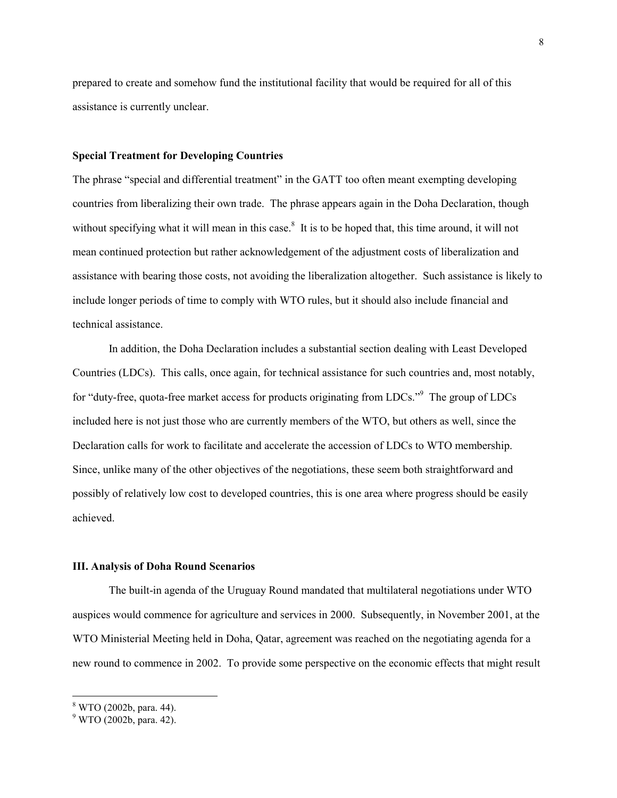prepared to create and somehow fund the institutional facility that would be required for all of this assistance is currently unclear.

## **Special Treatment for Developing Countries**

The phrase "special and differential treatment" in the GATT too often meant exempting developing countries from liberalizing their own trade. The phrase appears again in the Doha Declaration, though without specifying what it will mean in this case.<sup>8</sup> It is to be hoped that, this time around, it will not mean continued protection but rather acknowledgement of the adjustment costs of liberalization and assistance with bearing those costs, not avoiding the liberalization altogether. Such assistance is likely to include longer periods of time to comply with WTO rules, but it should also include financial and technical assistance.

 In addition, the Doha Declaration includes a substantial section dealing with Least Developed Countries (LDCs). This calls, once again, for technical assistance for such countries and, most notably, for "duty-free, quota-free market access for products originating from LDCs."<sup>9</sup> The group of LDCs included here is not just those who are currently members of the WTO, but others as well, since the Declaration calls for work to facilitate and accelerate the accession of LDCs to WTO membership. Since, unlike many of the other objectives of the negotiations, these seem both straightforward and possibly of relatively low cost to developed countries, this is one area where progress should be easily achieved.

#### **III. Analysis of Doha Round Scenarios**

 The built-in agenda of the Uruguay Round mandated that multilateral negotiations under WTO auspices would commence for agriculture and services in 2000. Subsequently, in November 2001, at the WTO Ministerial Meeting held in Doha, Qatar, agreement was reached on the negotiating agenda for a new round to commence in 2002. To provide some perspective on the economic effects that might result

<sup>8</sup> WTO (2002b, para. 44).

<sup>&</sup>lt;sup>9</sup> WTO (2002b, para. 42).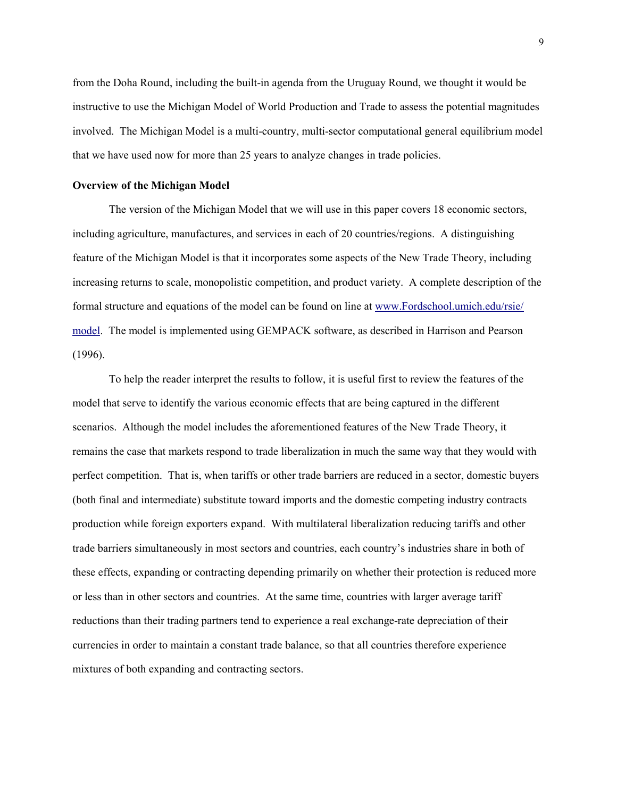from the Doha Round, including the built-in agenda from the Uruguay Round, we thought it would be instructive to use the Michigan Model of World Production and Trade to assess the potential magnitudes involved. The Michigan Model is a multi-country, multi-sector computational general equilibrium model that we have used now for more than 25 years to analyze changes in trade policies.

#### **Overview of the Michigan Model**

 The version of the Michigan Model that we will use in this paper covers 18 economic sectors, including agriculture, manufactures, and services in each of 20 countries/regions. A distinguishing feature of the Michigan Model is that it incorporates some aspects of the New Trade Theory, including increasing returns to scale, monopolistic competition, and product variety. A complete description of the formal structure and equations of the model can be found on line at www.Fordschool.umich.edu/rsie/ model. The model is implemented using GEMPACK software, as described in Harrison and Pearson (1996).

 To help the reader interpret the results to follow, it is useful first to review the features of the model that serve to identify the various economic effects that are being captured in the different scenarios. Although the model includes the aforementioned features of the New Trade Theory, it remains the case that markets respond to trade liberalization in much the same way that they would with perfect competition. That is, when tariffs or other trade barriers are reduced in a sector, domestic buyers (both final and intermediate) substitute toward imports and the domestic competing industry contracts production while foreign exporters expand. With multilateral liberalization reducing tariffs and other trade barriers simultaneously in most sectors and countries, each country's industries share in both of these effects, expanding or contracting depending primarily on whether their protection is reduced more or less than in other sectors and countries. At the same time, countries with larger average tariff reductions than their trading partners tend to experience a real exchange-rate depreciation of their currencies in order to maintain a constant trade balance, so that all countries therefore experience mixtures of both expanding and contracting sectors.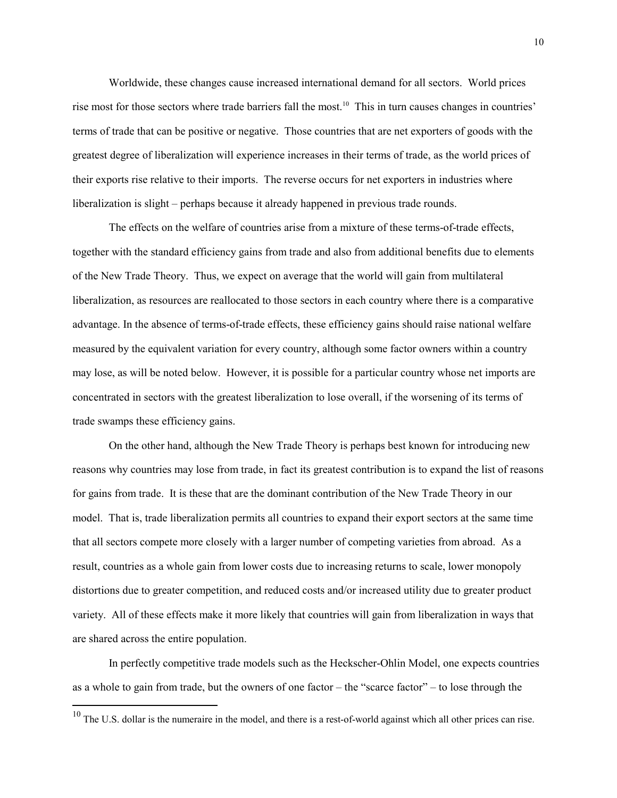Worldwide, these changes cause increased international demand for all sectors. World prices rise most for those sectors where trade barriers fall the most.<sup>10</sup> This in turn causes changes in countries' terms of trade that can be positive or negative. Those countries that are net exporters of goods with the greatest degree of liberalization will experience increases in their terms of trade, as the world prices of their exports rise relative to their imports. The reverse occurs for net exporters in industries where liberalization is slight – perhaps because it already happened in previous trade rounds.

 The effects on the welfare of countries arise from a mixture of these terms-of-trade effects, together with the standard efficiency gains from trade and also from additional benefits due to elements of the New Trade Theory. Thus, we expect on average that the world will gain from multilateral liberalization, as resources are reallocated to those sectors in each country where there is a comparative advantage. In the absence of terms-of-trade effects, these efficiency gains should raise national welfare measured by the equivalent variation for every country, although some factor owners within a country may lose, as will be noted below. However, it is possible for a particular country whose net imports are concentrated in sectors with the greatest liberalization to lose overall, if the worsening of its terms of trade swamps these efficiency gains.

 On the other hand, although the New Trade Theory is perhaps best known for introducing new reasons why countries may lose from trade, in fact its greatest contribution is to expand the list of reasons for gains from trade. It is these that are the dominant contribution of the New Trade Theory in our model. That is, trade liberalization permits all countries to expand their export sectors at the same time that all sectors compete more closely with a larger number of competing varieties from abroad. As a result, countries as a whole gain from lower costs due to increasing returns to scale, lower monopoly distortions due to greater competition, and reduced costs and/or increased utility due to greater product variety. All of these effects make it more likely that countries will gain from liberalization in ways that are shared across the entire population.

 In perfectly competitive trade models such as the Heckscher-Ohlin Model, one expects countries as a whole to gain from trade, but the owners of one factor – the "scarce factor" – to lose through the

 $10$  The U.S. dollar is the numeraire in the model, and there is a rest-of-world against which all other prices can rise.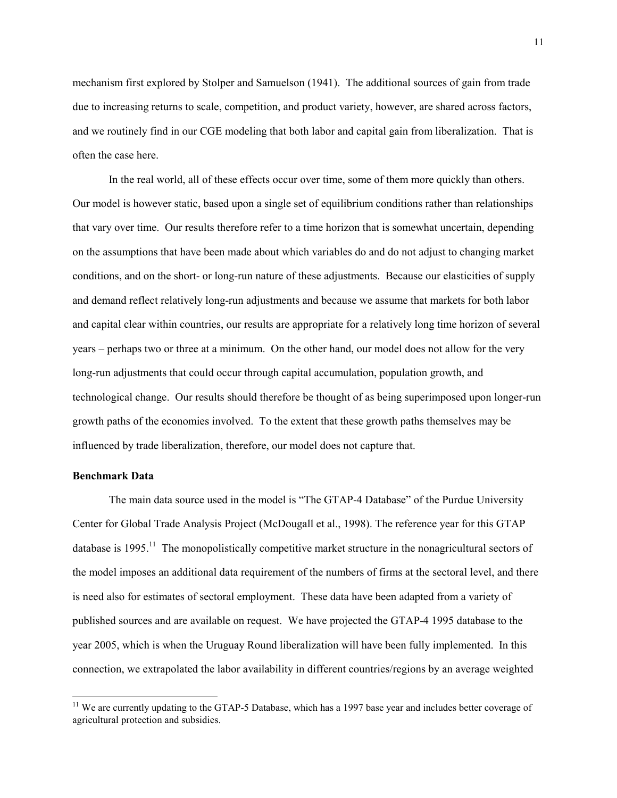mechanism first explored by Stolper and Samuelson (1941). The additional sources of gain from trade due to increasing returns to scale, competition, and product variety, however, are shared across factors, and we routinely find in our CGE modeling that both labor and capital gain from liberalization. That is often the case here.

 In the real world, all of these effects occur over time, some of them more quickly than others. Our model is however static, based upon a single set of equilibrium conditions rather than relationships that vary over time. Our results therefore refer to a time horizon that is somewhat uncertain, depending on the assumptions that have been made about which variables do and do not adjust to changing market conditions, and on the short- or long-run nature of these adjustments. Because our elasticities of supply and demand reflect relatively long-run adjustments and because we assume that markets for both labor and capital clear within countries, our results are appropriate for a relatively long time horizon of several years – perhaps two or three at a minimum. On the other hand, our model does not allow for the very long-run adjustments that could occur through capital accumulation, population growth, and technological change. Our results should therefore be thought of as being superimposed upon longer-run growth paths of the economies involved. To the extent that these growth paths themselves may be influenced by trade liberalization, therefore, our model does not capture that.

# **Benchmark Data**

 $\overline{a}$ 

 The main data source used in the model is "The GTAP-4 Database" of the Purdue University Center for Global Trade Analysis Project (McDougall et al., 1998). The reference year for this GTAP database is 1995.<sup>11</sup> The monopolistically competitive market structure in the nonagricultural sectors of the model imposes an additional data requirement of the numbers of firms at the sectoral level, and there is need also for estimates of sectoral employment. These data have been adapted from a variety of published sources and are available on request. We have projected the GTAP-4 1995 database to the year 2005, which is when the Uruguay Round liberalization will have been fully implemented. In this connection, we extrapolated the labor availability in different countries/regions by an average weighted

<sup>&</sup>lt;sup>11</sup> We are currently updating to the GTAP-5 Database, which has a 1997 base year and includes better coverage of agricultural protection and subsidies.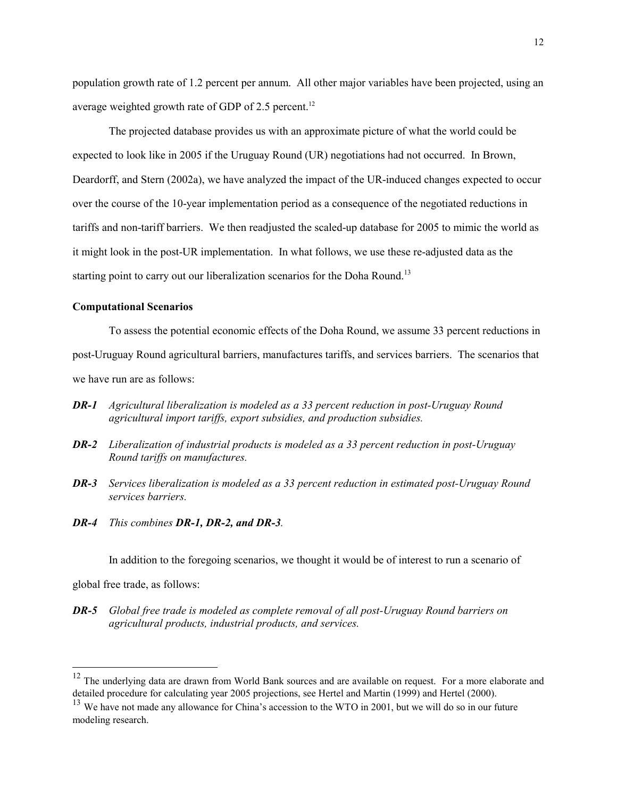population growth rate of 1.2 percent per annum. All other major variables have been projected, using an average weighted growth rate of GDP of 2.5 percent.<sup>12</sup>

 The projected database provides us with an approximate picture of what the world could be expected to look like in 2005 if the Uruguay Round (UR) negotiations had not occurred. In Brown, Deardorff, and Stern (2002a), we have analyzed the impact of the UR-induced changes expected to occur over the course of the 10-year implementation period as a consequence of the negotiated reductions in tariffs and non-tariff barriers. We then readjusted the scaled-up database for 2005 to mimic the world as it might look in the post-UR implementation. In what follows, we use these re-adjusted data as the starting point to carry out our liberalization scenarios for the Doha Round.<sup>13</sup>

# **Computational Scenarios**

 To assess the potential economic effects of the Doha Round, we assume 33 percent reductions in post-Uruguay Round agricultural barriers, manufactures tariffs, and services barriers. The scenarios that we have run are as follows:

- *DR-1 Agricultural liberalization is modeled as a 33 percent reduction in post-Uruguay Round agricultural import tariffs, export subsidies, and production subsidies.*
- *DR-2 Liberalization of industrial products is modeled as a 33 percent reduction in post-Uruguay Round tariffs on manufactures.*
- *DR-3 Services liberalization is modeled as a 33 percent reduction in estimated post-Uruguay Round services barriers.*
- *DR-4 This combines DR-1, DR-2, and DR-3.*

In addition to the foregoing scenarios, we thought it would be of interest to run a scenario of

global free trade, as follows:

 $\overline{a}$ 

*DR-5 Global free trade is modeled as complete removal of all post-Uruguay Round barriers on agricultural products, industrial products, and services.* 

<sup>&</sup>lt;sup>12</sup> The underlying data are drawn from World Bank sources and are available on request. For a more elaborate and detailed procedure for calculating year 2005 projections, see Hertel and Martin (1999) and Hertel (2000).

<sup>&</sup>lt;sup>13</sup> We have not made any allowance for China's accession to the WTO in 2001, but we will do so in our future modeling research.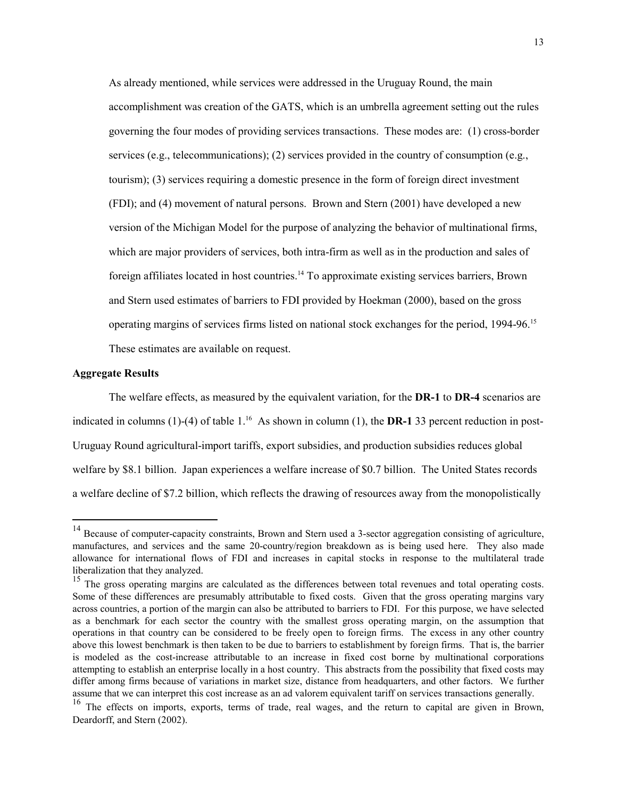As already mentioned, while services were addressed in the Uruguay Round, the main accomplishment was creation of the GATS, which is an umbrella agreement setting out the rules governing the four modes of providing services transactions. These modes are: (1) cross-border services (e.g., telecommunications); (2) services provided in the country of consumption (e.g., tourism); (3) services requiring a domestic presence in the form of foreign direct investment (FDI); and (4) movement of natural persons. Brown and Stern (2001) have developed a new version of the Michigan Model for the purpose of analyzing the behavior of multinational firms, which are major providers of services, both intra-firm as well as in the production and sales of foreign affiliates located in host countries.14 To approximate existing services barriers, Brown and Stern used estimates of barriers to FDI provided by Hoekman (2000), based on the gross operating margins of services firms listed on national stock exchanges for the period, 1994-96.15 These estimates are available on request.

# **Aggregate Results**

 $\overline{a}$ 

 The welfare effects, as measured by the equivalent variation, for the **DR-1** to **DR-4** scenarios are indicated in columns  $(1)-(4)$  of table  $1<sup>16</sup>$ . As shown in column  $(1)$ , the **DR-1** 33 percent reduction in post-Uruguay Round agricultural-import tariffs, export subsidies, and production subsidies reduces global welfare by \$8.1 billion. Japan experiences a welfare increase of \$0.7 billion. The United States records a welfare decline of \$7.2 billion, which reflects the drawing of resources away from the monopolistically

<sup>&</sup>lt;sup>14</sup> Because of computer-capacity constraints, Brown and Stern used a 3-sector aggregation consisting of agriculture, manufactures, and services and the same 20-country/region breakdown as is being used here. They also made allowance for international flows of FDI and increases in capital stocks in response to the multilateral trade liberalization that they analyzed.

<sup>&</sup>lt;sup>15</sup> The gross operating margins are calculated as the differences between total revenues and total operating costs. Some of these differences are presumably attributable to fixed costs. Given that the gross operating margins vary across countries, a portion of the margin can also be attributed to barriers to FDI. For this purpose, we have selected as a benchmark for each sector the country with the smallest gross operating margin, on the assumption that operations in that country can be considered to be freely open to foreign firms. The excess in any other country above this lowest benchmark is then taken to be due to barriers to establishment by foreign firms. That is, the barrier is modeled as the cost-increase attributable to an increase in fixed cost borne by multinational corporations attempting to establish an enterprise locally in a host country. This abstracts from the possibility that fixed costs may differ among firms because of variations in market size, distance from headquarters, and other factors. We further assume that we can interpret this cost increase as an ad valorem equivalent tariff on services transactions generally.

<sup>&</sup>lt;sup>16</sup> The effects on imports, exports, terms of trade, real wages, and the return to capital are given in Brown, Deardorff, and Stern (2002).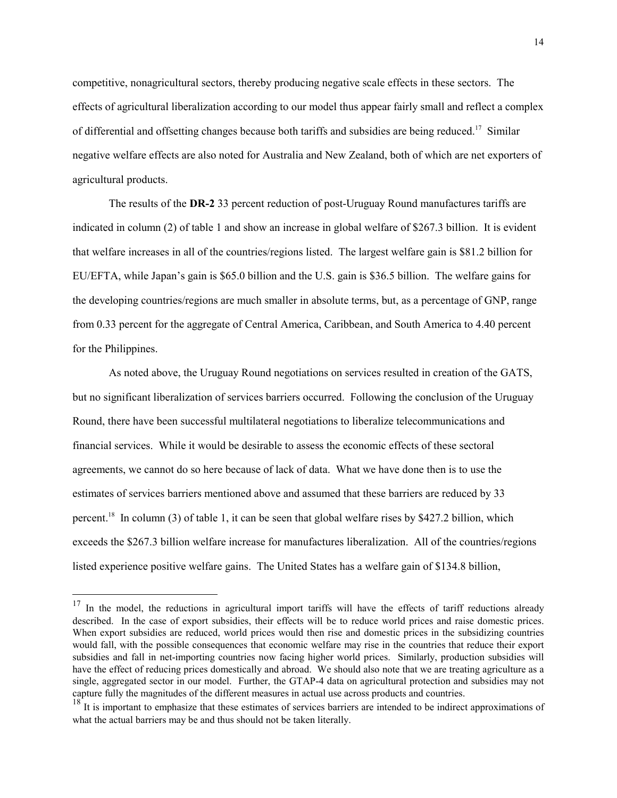competitive, nonagricultural sectors, thereby producing negative scale effects in these sectors. The effects of agricultural liberalization according to our model thus appear fairly small and reflect a complex of differential and offsetting changes because both tariffs and subsidies are being reduced.17 Similar negative welfare effects are also noted for Australia and New Zealand, both of which are net exporters of agricultural products.

 The results of the **DR-2** 33 percent reduction of post-Uruguay Round manufactures tariffs are indicated in column (2) of table 1 and show an increase in global welfare of \$267.3 billion. It is evident that welfare increases in all of the countries/regions listed. The largest welfare gain is \$81.2 billion for EU/EFTA, while Japan's gain is \$65.0 billion and the U.S. gain is \$36.5 billion. The welfare gains for the developing countries/regions are much smaller in absolute terms, but, as a percentage of GNP, range from 0.33 percent for the aggregate of Central America, Caribbean, and South America to 4.40 percent for the Philippines.

 As noted above, the Uruguay Round negotiations on services resulted in creation of the GATS, but no significant liberalization of services barriers occurred. Following the conclusion of the Uruguay Round, there have been successful multilateral negotiations to liberalize telecommunications and financial services. While it would be desirable to assess the economic effects of these sectoral agreements, we cannot do so here because of lack of data. What we have done then is to use the estimates of services barriers mentioned above and assumed that these barriers are reduced by 33 percent.18 In column (3) of table 1, it can be seen that global welfare rises by \$427.2 billion, which exceeds the \$267.3 billion welfare increase for manufactures liberalization. All of the countries/regions listed experience positive welfare gains. The United States has a welfare gain of \$134.8 billion,

 $17$  In the model, the reductions in agricultural import tariffs will have the effects of tariff reductions already described. In the case of export subsidies, their effects will be to reduce world prices and raise domestic prices. When export subsidies are reduced, world prices would then rise and domestic prices in the subsidizing countries would fall, with the possible consequences that economic welfare may rise in the countries that reduce their export subsidies and fall in net-importing countries now facing higher world prices. Similarly, production subsidies will have the effect of reducing prices domestically and abroad. We should also note that we are treating agriculture as a single, aggregated sector in our model. Further, the GTAP-4 data on agricultural protection and subsidies may not capture fully the magnitudes of the different measures in actual use across products and countries.

 $18$ <sup>18</sup> It is important to emphasize that these estimates of services barriers are intended to be indirect approximations of what the actual barriers may be and thus should not be taken literally.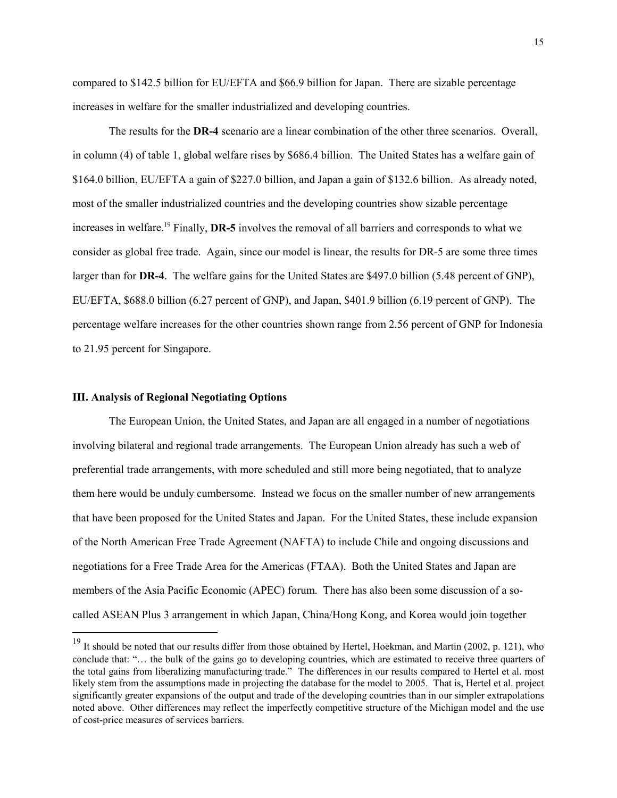compared to \$142.5 billion for EU/EFTA and \$66.9 billion for Japan. There are sizable percentage increases in welfare for the smaller industrialized and developing countries.

 The results for the **DR-4** scenario are a linear combination of the other three scenarios. Overall, in column (4) of table 1, global welfare rises by \$686.4 billion. The United States has a welfare gain of \$164.0 billion, EU/EFTA a gain of \$227.0 billion, and Japan a gain of \$132.6 billion. As already noted, most of the smaller industrialized countries and the developing countries show sizable percentage increases in welfare.<sup>19</sup> Finally, **DR-5** involves the removal of all barriers and corresponds to what we consider as global free trade. Again, since our model is linear, the results for DR-5 are some three times larger than for **DR-4**. The welfare gains for the United States are \$497.0 billion (5.48 percent of GNP), EU/EFTA, \$688.0 billion (6.27 percent of GNP), and Japan, \$401.9 billion (6.19 percent of GNP). The percentage welfare increases for the other countries shown range from 2.56 percent of GNP for Indonesia to 21.95 percent for Singapore.

#### **III. Analysis of Regional Negotiating Options**

 $\overline{a}$ 

 The European Union, the United States, and Japan are all engaged in a number of negotiations involving bilateral and regional trade arrangements. The European Union already has such a web of preferential trade arrangements, with more scheduled and still more being negotiated, that to analyze them here would be unduly cumbersome. Instead we focus on the smaller number of new arrangements that have been proposed for the United States and Japan. For the United States, these include expansion of the North American Free Trade Agreement (NAFTA) to include Chile and ongoing discussions and negotiations for a Free Trade Area for the Americas (FTAA). Both the United States and Japan are members of the Asia Pacific Economic (APEC) forum. There has also been some discussion of a socalled ASEAN Plus 3 arrangement in which Japan, China/Hong Kong, and Korea would join together

 $19$  It should be noted that our results differ from those obtained by Hertel, Hoekman, and Martin (2002, p. 121), who conclude that: "... the bulk of the gains go to developing countries, which are estimated to receive three quarters of the total gains from liberalizing manufacturing trade." The differences in our results compared to Hertel et al. most likely stem from the assumptions made in projecting the database for the model to 2005. That is, Hertel et al. project significantly greater expansions of the output and trade of the developing countries than in our simpler extrapolations noted above. Other differences may reflect the imperfectly competitive structure of the Michigan model and the use of cost-price measures of services barriers.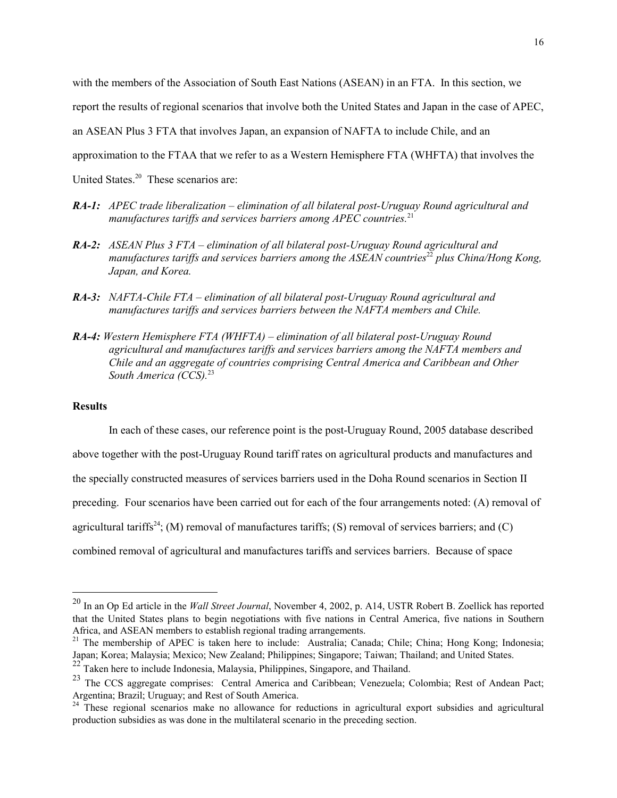with the members of the Association of South East Nations (ASEAN) in an FTA. In this section, we report the results of regional scenarios that involve both the United States and Japan in the case of APEC, an ASEAN Plus 3 FTA that involves Japan, an expansion of NAFTA to include Chile, and an approximation to the FTAA that we refer to as a Western Hemisphere FTA (WHFTA) that involves the United States.<sup>20</sup> These scenarios are:

- *RA-1: APEC trade liberalization elimination of all bilateral post-Uruguay Round agricultural and manufactures tariffs and services barriers among APEC countries.*<sup>21</sup>
- *RA-2: ASEAN Plus 3 FTA elimination of all bilateral post-Uruguay Round agricultural and manufactures tariffs and services barriers among the ASEAN countries*<sup>22</sup> *plus China/Hong Kong, Japan, and Korea.*
- *RA-3: NAFTA-Chile FTA elimination of all bilateral post-Uruguay Round agricultural and manufactures tariffs and services barriers between the NAFTA members and Chile.*
- *RA-4: Western Hemisphere FTA (WHFTA) elimination of all bilateral post-Uruguay Round agricultural and manufactures tariffs and services barriers among the NAFTA members and Chile and an aggregate of countries comprising Central America and Caribbean and Other South America (CCS).*<sup>23</sup>

# **Results**

 $\overline{a}$ 

 In each of these cases, our reference point is the post-Uruguay Round, 2005 database described above together with the post-Uruguay Round tariff rates on agricultural products and manufactures and the specially constructed measures of services barriers used in the Doha Round scenarios in Section II preceding. Four scenarios have been carried out for each of the four arrangements noted: (A) removal of agricultural tariffs<sup>24</sup>; (M) removal of manufactures tariffs; (S) removal of services barriers; and (C) combined removal of agricultural and manufactures tariffs and services barriers. Because of space

<sup>20</sup> In an Op Ed article in the *Wall Street Journal*, November 4, 2002, p. A14, USTR Robert B. Zoellick has reported that the United States plans to begin negotiations with five nations in Central America, five nations in Southern Africa, and ASEAN members to establish regional trading arrangements.

<sup>&</sup>lt;sup>21</sup> The membership of APEC is taken here to include: Australia; Canada; Chile; China; Hong Kong; Indonesia; Japan; Korea; Malaysia; Mexico; New Zealand; Philippines; Singapore; Taiwan; Thailand; and United States.

 $^{22}$  Taken here to include Indonesia, Malaysia, Philippines, Singapore, and Thailand.

<sup>&</sup>lt;sup>23</sup> The CCS aggregate comprises: Central America and Caribbean; Venezuela; Colombia; Rest of Andean Pact; Argentina; Brazil; Uruguay; and Rest of South America.

<sup>&</sup>lt;sup>24</sup> These regional scenarios make no allowance for reductions in agricultural export subsidies and agricultural production subsidies as was done in the multilateral scenario in the preceding section.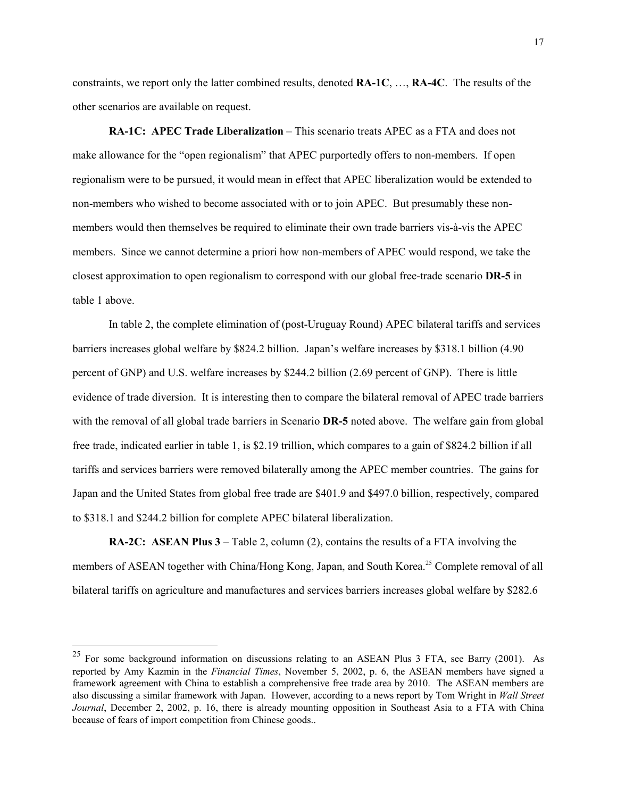constraints, we report only the latter combined results, denoted **RA-1C**, ..., **RA-4C**. The results of the other scenarios are available on request.

**RA-1C: APEC Trade Liberalization** – This scenario treats APEC as a FTA and does not make allowance for the "open regionalism" that APEC purportedly offers to non-members. If open regionalism were to be pursued, it would mean in effect that APEC liberalization would be extended to non-members who wished to become associated with or to join APEC. But presumably these nonmembers would then themselves be required to eliminate their own trade barriers vis-à-vis the APEC members. Since we cannot determine a priori how non-members of APEC would respond, we take the closest approximation to open regionalism to correspond with our global free-trade scenario **DR-5** in table 1 above.

 In table 2, the complete elimination of (post-Uruguay Round) APEC bilateral tariffs and services barriers increases global welfare by \$824.2 billion. Japan's welfare increases by \$318.1 billion (4.90 percent of GNP) and U.S. welfare increases by \$244.2 billion (2.69 percent of GNP). There is little evidence of trade diversion. It is interesting then to compare the bilateral removal of APEC trade barriers with the removal of all global trade barriers in Scenario **DR-5** noted above. The welfare gain from global free trade, indicated earlier in table 1, is \$2.19 trillion, which compares to a gain of \$824.2 billion if all tariffs and services barriers were removed bilaterally among the APEC member countries. The gains for Japan and the United States from global free trade are \$401.9 and \$497.0 billion, respectively, compared to \$318.1 and \$244.2 billion for complete APEC bilateral liberalization.

**RA-2C: ASEAN Plus 3** – Table 2, column (2), contains the results of a FTA involving the members of ASEAN together with China/Hong Kong, Japan, and South Korea.<sup>25</sup> Complete removal of all bilateral tariffs on agriculture and manufactures and services barriers increases global welfare by \$282.6

<sup>&</sup>lt;sup>25</sup> For some background information on discussions relating to an ASEAN Plus 3 FTA, see Barry (2001). As reported by Amy Kazmin in the *Financial Times*, November 5, 2002, p. 6, the ASEAN members have signed a framework agreement with China to establish a comprehensive free trade area by 2010. The ASEAN members are also discussing a similar framework with Japan. However, according to a news report by Tom Wright in *Wall Street Journal*, December 2, 2002, p. 16, there is already mounting opposition in Southeast Asia to a FTA with China because of fears of import competition from Chinese goods..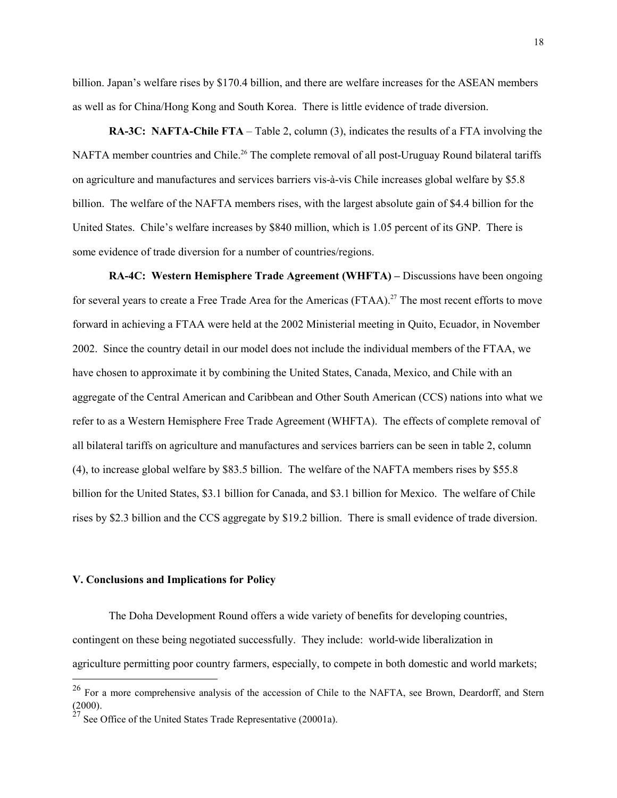billion. Japan's welfare rises by \$170.4 billion, and there are welfare increases for the ASEAN members as well as for China/Hong Kong and South Korea. There is little evidence of trade diversion.

**RA-3C: NAFTA-Chile FTA** – Table 2, column (3), indicates the results of a FTA involving the NAFTA member countries and Chile.<sup>26</sup> The complete removal of all post-Uruguay Round bilateral tariffs on agriculture and manufactures and services barriers vis-à-vis Chile increases global welfare by \$5.8 billion. The welfare of the NAFTA members rises, with the largest absolute gain of \$4.4 billion for the United States. Chile's welfare increases by \$840 million, which is 1.05 percent of its GNP. There is some evidence of trade diversion for a number of countries/regions.

**RA-4C: Western Hemisphere Trade Agreement (WHFTA) – Discussions have been ongoing** for several years to create a Free Trade Area for the Americas (FTAA).<sup>27</sup> The most recent efforts to move forward in achieving a FTAA were held at the 2002 Ministerial meeting in Quito, Ecuador, in November 2002. Since the country detail in our model does not include the individual members of the FTAA, we have chosen to approximate it by combining the United States, Canada, Mexico, and Chile with an aggregate of the Central American and Caribbean and Other South American (CCS) nations into what we refer to as a Western Hemisphere Free Trade Agreement (WHFTA). The effects of complete removal of all bilateral tariffs on agriculture and manufactures and services barriers can be seen in table 2, column (4), to increase global welfare by \$83.5 billion. The welfare of the NAFTA members rises by \$55.8 billion for the United States, \$3.1 billion for Canada, and \$3.1 billion for Mexico. The welfare of Chile rises by \$2.3 billion and the CCS aggregate by \$19.2 billion. There is small evidence of trade diversion.

#### **V. Conclusions and Implications for Policy**

 $\overline{a}$ 

 The Doha Development Round offers a wide variety of benefits for developing countries, contingent on these being negotiated successfully. They include: world-wide liberalization in agriculture permitting poor country farmers, especially, to compete in both domestic and world markets;

<sup>&</sup>lt;sup>26</sup> For a more comprehensive analysis of the accession of Chile to the NAFTA, see Brown, Deardorff, and Stern (2000).

 $27$  See Office of the United States Trade Representative (20001a).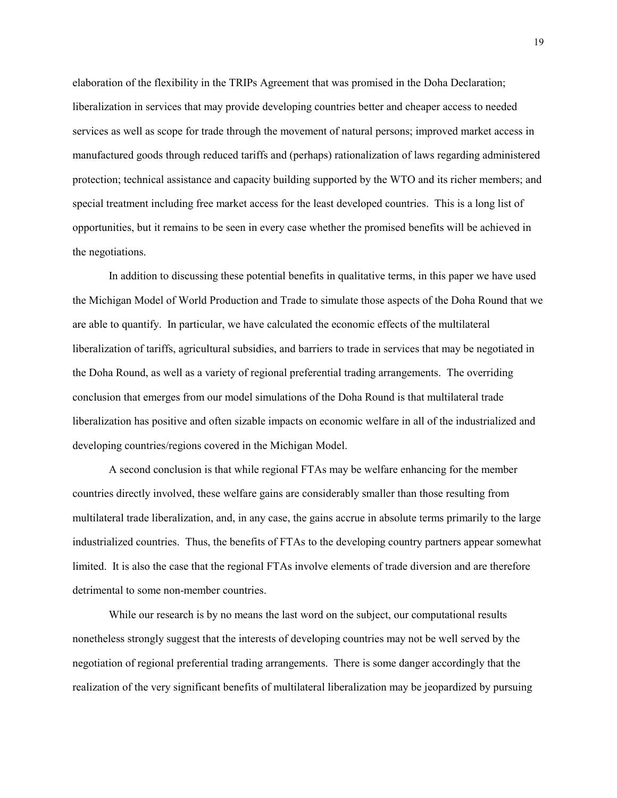elaboration of the flexibility in the TRIPs Agreement that was promised in the Doha Declaration; liberalization in services that may provide developing countries better and cheaper access to needed services as well as scope for trade through the movement of natural persons; improved market access in manufactured goods through reduced tariffs and (perhaps) rationalization of laws regarding administered protection; technical assistance and capacity building supported by the WTO and its richer members; and special treatment including free market access for the least developed countries. This is a long list of opportunities, but it remains to be seen in every case whether the promised benefits will be achieved in the negotiations.

 In addition to discussing these potential benefits in qualitative terms, in this paper we have used the Michigan Model of World Production and Trade to simulate those aspects of the Doha Round that we are able to quantify. In particular, we have calculated the economic effects of the multilateral liberalization of tariffs, agricultural subsidies, and barriers to trade in services that may be negotiated in the Doha Round, as well as a variety of regional preferential trading arrangements. The overriding conclusion that emerges from our model simulations of the Doha Round is that multilateral trade liberalization has positive and often sizable impacts on economic welfare in all of the industrialized and developing countries/regions covered in the Michigan Model.

 A second conclusion is that while regional FTAs may be welfare enhancing for the member countries directly involved, these welfare gains are considerably smaller than those resulting from multilateral trade liberalization, and, in any case, the gains accrue in absolute terms primarily to the large industrialized countries. Thus, the benefits of FTAs to the developing country partners appear somewhat limited. It is also the case that the regional FTAs involve elements of trade diversion and are therefore detrimental to some non-member countries.

While our research is by no means the last word on the subject, our computational results nonetheless strongly suggest that the interests of developing countries may not be well served by the negotiation of regional preferential trading arrangements. There is some danger accordingly that the realization of the very significant benefits of multilateral liberalization may be jeopardized by pursuing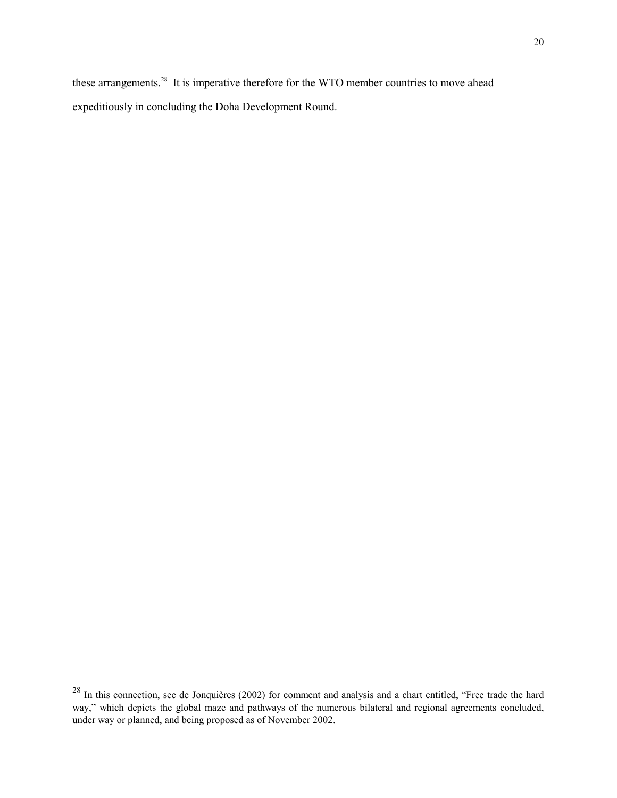these arrangements.<sup>28</sup> It is imperative therefore for the WTO member countries to move ahead expeditiously in concluding the Doha Development Round.

 $^{28}$  In this connection, see de Jonquières (2002) for comment and analysis and a chart entitled, "Free trade the hard way," which depicts the global maze and pathways of the numerous bilateral and regional agreements concluded, under way or planned, and being proposed as of November 2002.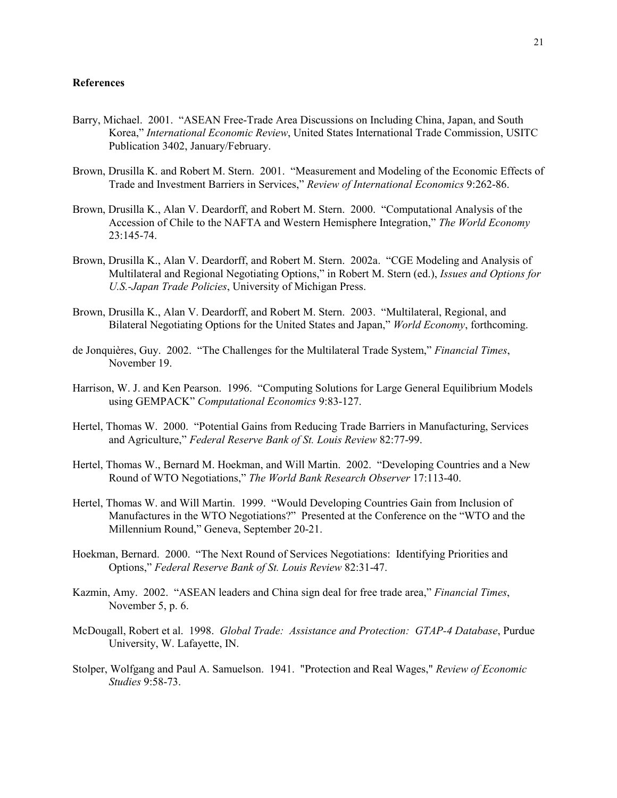# **References**

- Barry, Michael. 2001. "ASEAN Free-Trade Area Discussions on Including China, Japan, and South Korea," *International Economic Review*, United States International Trade Commission, USITC Publication 3402, January/February.
- Brown, Drusilla K. and Robert M. Stern. 2001. "Measurement and Modeling of the Economic Effects of Trade and Investment Barriers in Services," *Review of International Economics* 9:262-86.
- Brown, Drusilla K., Alan V. Deardorff, and Robert M. Stern. 2000. "Computational Analysis of the Accession of Chile to the NAFTA and Western Hemisphere Integration," *The World Economy*  $23:145-74$ .
- Brown, Drusilla K., Alan V. Deardorff, and Robert M. Stern. 2002a. "CGE Modeling and Analysis of Multilateral and Regional Negotiating Options," in Robert M. Stern (ed.), *Issues and Options for U.S.-Japan Trade Policies*, University of Michigan Press.
- Brown, Drusilla K., Alan V. Deardorff, and Robert M. Stern. 2003. "Multilateral, Regional, and Bilateral Negotiating Options for the United States and Japan," *World Economy*, forthcoming.
- de Jonquières, Guy. 2002. "The Challenges for the Multilateral Trade System," *Financial Times*, November 19.
- Harrison, W. J. and Ken Pearson. 1996. "Computing Solutions for Large General Equilibrium Models using GEMPACK" *Computational Economics* 9:83-127.
- Hertel, Thomas W. 2000. "Potential Gains from Reducing Trade Barriers in Manufacturing, Services and Agriculture," *Federal Reserve Bank of St. Louis Review* 82:77-99.
- Hertel, Thomas W., Bernard M. Hoekman, and Will Martin. 2002. "Developing Countries and a New Round of WTO Negotiations," *The World Bank Research Observer* 17:113-40.
- Hertel, Thomas W. and Will Martin. 1999. "Would Developing Countries Gain from Inclusion of Manufactures in the WTO Negotiations?" Presented at the Conference on the "WTO and the Millennium Round," Geneva, September 20-21.
- Hoekman, Bernard. 2000. "The Next Round of Services Negotiations: Identifying Priorities and Options," *Federal Reserve Bank of St. Louis Review* 82:31-47.
- Kazmin, Amy. 2002. "ASEAN leaders and China sign deal for free trade area," *Financial Times*, November 5, p. 6.
- McDougall, Robert et al. 1998. *Global Trade: Assistance and Protection: GTAP-4 Database*, Purdue University, W. Lafayette, IN.
- Stolper, Wolfgang and Paul A. Samuelson. 1941. "Protection and Real Wages," *Review of Economic Studies* 9:58-73.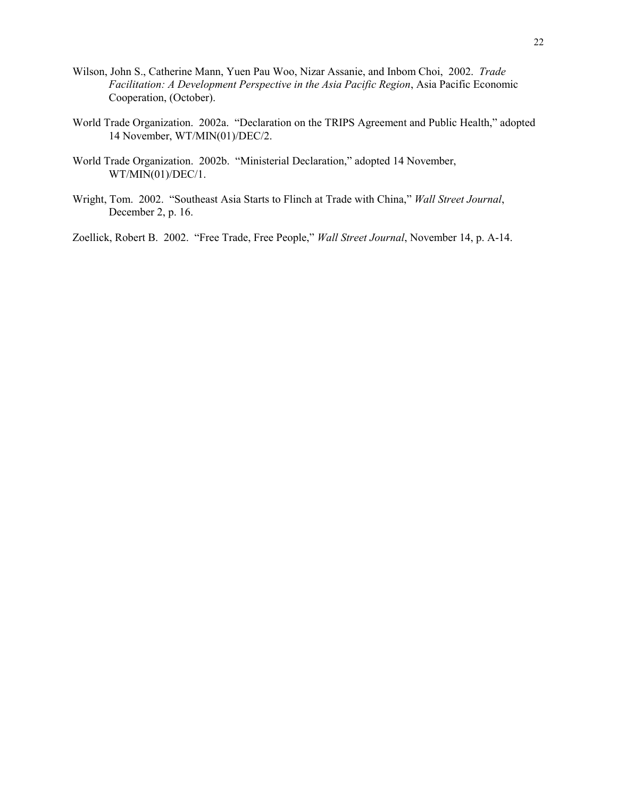- Wilson, John S., Catherine Mann, Yuen Pau Woo, Nizar Assanie, and Inbom Choi, 2002. *Trade Facilitation: A Development Perspective in the Asia Pacific Region*, Asia Pacific Economic Cooperation, (October).
- World Trade Organization. 2002a. "Declaration on the TRIPS Agreement and Public Health," adopted 14 November, WT/MIN(01)/DEC/2.
- World Trade Organization. 2002b. "Ministerial Declaration," adopted 14 November, WT/MIN(01)/DEC/1.
- Wright, Tom. 2002. "Southeast Asia Starts to Flinch at Trade with China," *Wall Street Journal*, December 2, p. 16.

Zoellick, Robert B. 2002. "Free Trade, Free People," *Wall Street Journal*, November 14, p. A-14.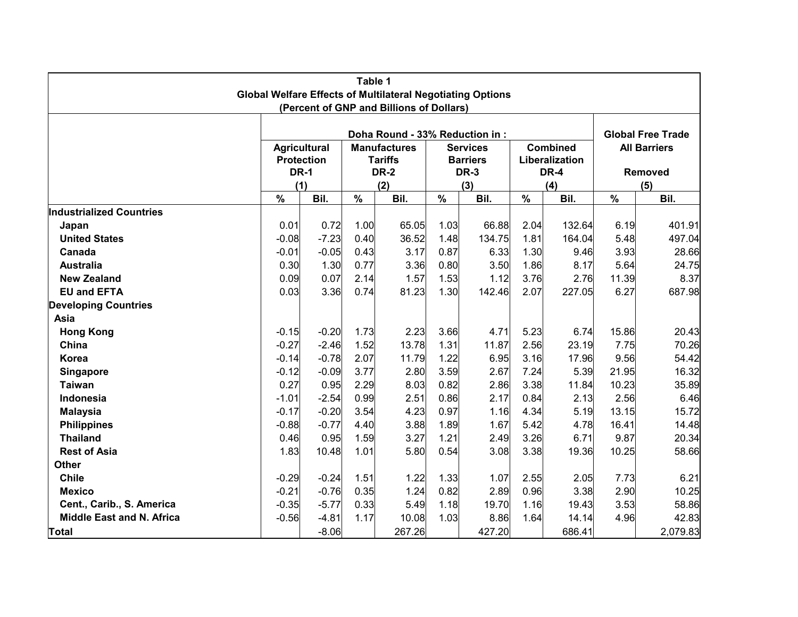| Table 1<br><b>Global Welfare Effects of Multilateral Negotiating Options</b> |                                                                |         |                                                             |        |                                                          |        |                                                         |        |                                       |                          |  |  |
|------------------------------------------------------------------------------|----------------------------------------------------------------|---------|-------------------------------------------------------------|--------|----------------------------------------------------------|--------|---------------------------------------------------------|--------|---------------------------------------|--------------------------|--|--|
| (Percent of GNP and Billions of Dollars)                                     |                                                                |         |                                                             |        |                                                          |        |                                                         |        |                                       |                          |  |  |
|                                                                              | Doha Round - 33% Reduction in:                                 |         |                                                             |        |                                                          |        |                                                         |        |                                       | <b>Global Free Trade</b> |  |  |
|                                                                              | <b>Agricultural</b><br><b>Protection</b><br><b>DR-1</b><br>(1) |         | <b>Manufactures</b><br><b>Tariffs</b><br><b>DR-2</b><br>(2) |        | <b>Services</b><br><b>Barriers</b><br><b>DR-3</b><br>(3) |        | <b>Combined</b><br>Liberalization<br><b>DR-4</b><br>(4) |        | <b>All Barriers</b><br>Removed<br>(5) |                          |  |  |
|                                                                              | $\%$                                                           | Bil.    | $\%$                                                        | Bil.   | $\%$                                                     | Bil.   | $\%$                                                    | Bil.   | $\%$                                  | Bil.                     |  |  |
| Industrialized Countries                                                     |                                                                |         |                                                             |        |                                                          |        |                                                         |        |                                       |                          |  |  |
| Japan                                                                        | 0.01                                                           | 0.72    | 1.00                                                        | 65.05  | 1.03                                                     | 66.88  | 2.04                                                    | 132.64 | 6.19                                  | 401.91                   |  |  |
| <b>United States</b>                                                         | $-0.08$                                                        | $-7.23$ | 0.40                                                        | 36.52  | 1.48                                                     | 134.75 | 1.81                                                    | 164.04 | 5.48                                  | 497.04                   |  |  |
| Canada                                                                       | $-0.01$                                                        | $-0.05$ | 0.43                                                        | 3.17   | 0.87                                                     | 6.33   | 1.30                                                    | 9.46   | 3.93                                  | 28.66                    |  |  |
| <b>Australia</b>                                                             | 0.30                                                           | 1.30    | 0.77                                                        | 3.36   | 0.80                                                     | 3.50   | 1.86                                                    | 8.17   | 5.64                                  | 24.75                    |  |  |
| <b>New Zealand</b>                                                           | 0.09                                                           | 0.07    | 2.14                                                        | 1.57   | 1.53                                                     | 1.12   | 3.76                                                    | 2.76   | 11.39                                 | 8.37                     |  |  |
| <b>EU and EFTA</b>                                                           | 0.03                                                           | 3.36    | 0.74                                                        | 81.23  | 1.30                                                     | 142.46 | 2.07                                                    | 227.05 | 6.27                                  | 687.98                   |  |  |
| <b>Developing Countries</b>                                                  |                                                                |         |                                                             |        |                                                          |        |                                                         |        |                                       |                          |  |  |
| Asia                                                                         |                                                                |         |                                                             |        |                                                          |        |                                                         |        |                                       |                          |  |  |
| <b>Hong Kong</b>                                                             | $-0.15$                                                        | $-0.20$ | 1.73                                                        | 2.23   | 3.66                                                     | 4.71   | 5.23                                                    | 6.74   | 15.86                                 | 20.43                    |  |  |
| China                                                                        | $-0.27$                                                        | $-2.46$ | 1.52                                                        | 13.78  | 1.31                                                     | 11.87  | 2.56                                                    | 23.19  | 7.75                                  | 70.26                    |  |  |
| <b>Korea</b>                                                                 | $-0.14$                                                        | $-0.78$ | 2.07                                                        | 11.79  | 1.22                                                     | 6.95   | 3.16                                                    | 17.96  | 9.56                                  | 54.42                    |  |  |
| Singapore                                                                    | $-0.12$                                                        | $-0.09$ | 3.77                                                        | 2.80   | 3.59                                                     | 2.67   | 7.24                                                    | 5.39   | 21.95                                 | 16.32                    |  |  |
| <b>Taiwan</b>                                                                | 0.27                                                           | 0.95    | 2.29                                                        | 8.03   | 0.82                                                     | 2.86   | 3.38                                                    | 11.84  | 10.23                                 | 35.89                    |  |  |
| Indonesia                                                                    | $-1.01$                                                        | $-2.54$ | 0.99                                                        | 2.51   | 0.86                                                     | 2.17   | 0.84                                                    | 2.13   | 2.56                                  | 6.46                     |  |  |
| <b>Malaysia</b>                                                              | $-0.17$                                                        | $-0.20$ | 3.54                                                        | 4.23   | 0.97                                                     | 1.16   | 4.34                                                    | 5.19   | 13.15                                 | 15.72                    |  |  |
| <b>Philippines</b>                                                           | $-0.88$                                                        | $-0.77$ | 4.40                                                        | 3.88   | 1.89                                                     | 1.67   | 5.42                                                    | 4.78   | 16.41                                 | 14.48                    |  |  |
| <b>Thailand</b>                                                              | 0.46                                                           | 0.95    | 1.59                                                        | 3.27   | 1.21                                                     | 2.49   | 3.26                                                    | 6.71   | 9.87                                  | 20.34                    |  |  |
| <b>Rest of Asia</b>                                                          | 1.83                                                           | 10.48   | 1.01                                                        | 5.80   | 0.54                                                     | 3.08   | 3.38                                                    | 19.36  | 10.25                                 | 58.66                    |  |  |
| Other                                                                        |                                                                |         |                                                             |        |                                                          |        |                                                         |        |                                       |                          |  |  |
| <b>Chile</b>                                                                 | $-0.29$                                                        | $-0.24$ | 1.51                                                        | 1.22   | 1.33                                                     | 1.07   | 2.55                                                    | 2.05   | 7.73                                  | 6.21                     |  |  |
| <b>Mexico</b>                                                                | $-0.21$                                                        | $-0.76$ | 0.35                                                        | 1.24   | 0.82                                                     | 2.89   | 0.96                                                    | 3.38   | 2.90                                  | 10.25                    |  |  |
| Cent., Carib., S. America                                                    | $-0.35$                                                        | $-5.77$ | 0.33                                                        | 5.49   | 1.18                                                     | 19.70  | 1.16                                                    | 19.43  | 3.53                                  | 58.86                    |  |  |
| <b>Middle East and N. Africa</b>                                             | $-0.56$                                                        | $-4.81$ | 1.17                                                        | 10.08  | 1.03                                                     | 8.86   | 1.64                                                    | 14.14  | 4.96                                  | 42.83                    |  |  |
| <b>Total</b>                                                                 |                                                                | $-8.06$ |                                                             | 267.26 |                                                          | 427.20 |                                                         | 686.41 |                                       | 2,079.83                 |  |  |